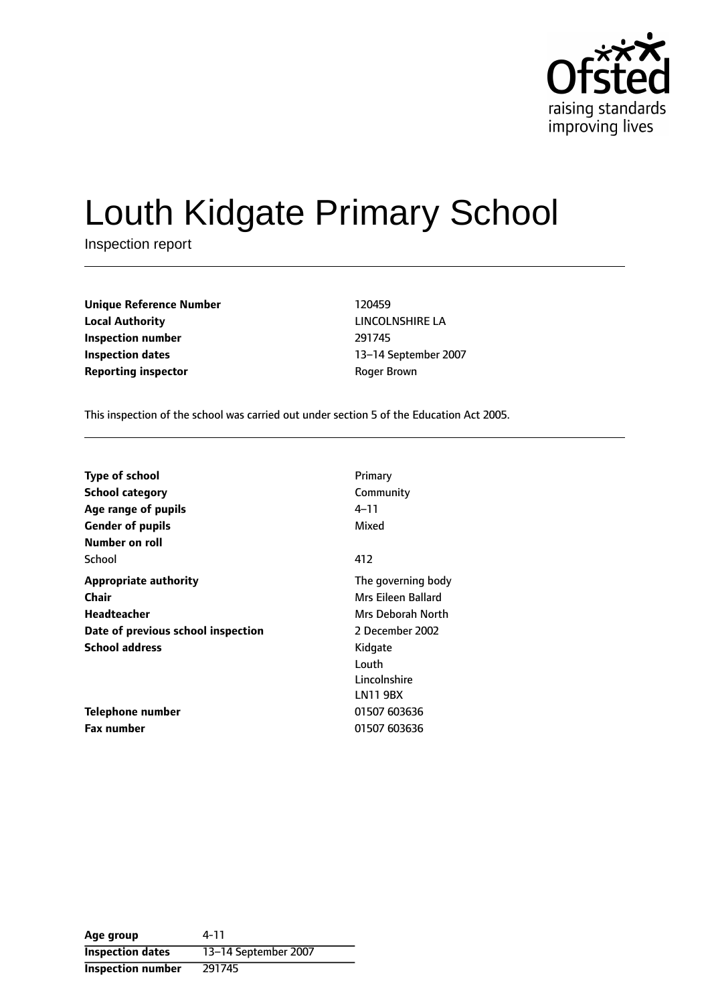

# Louth Kidgate Primary School

Inspection report

| <b>Unique Reference Number</b> | 120459       |
|--------------------------------|--------------|
| <b>Local Authority</b>         | LINCOLNSHII  |
| Inspection number              | 291745       |
| <b>Inspection dates</b>        | 13-14 Septer |
| <b>Reporting inspector</b>     | Roger Brown  |

**LINCOLNSHIRE LA Inspection number** 291745 13-14 September 2007

This inspection of the school was carried out under section 5 of the Education Act 2005.

| <b>Type of school</b>              | Primary            |
|------------------------------------|--------------------|
| <b>School category</b>             | Community          |
| Age range of pupils                | 4–11               |
| <b>Gender of pupils</b>            | Mixed              |
| Number on roll                     |                    |
| School                             | 412                |
| <b>Appropriate authority</b>       | The governing body |
| Chair                              | Mrs Eileen Ballard |
| Headteacher                        | Mrs Deborah North  |
| Date of previous school inspection | 2 December 2002    |
| <b>School address</b>              | Kidgate            |
|                                    | Louth              |
|                                    | Lincolnshire       |
|                                    | LN11 9BX           |
| Telephone number                   | 01507 603636       |
| <b>Fax number</b>                  | 01507 603636       |

**Age group** 4-11 **Inspection dates** 13-14 September 2007 **Inspection number** 291745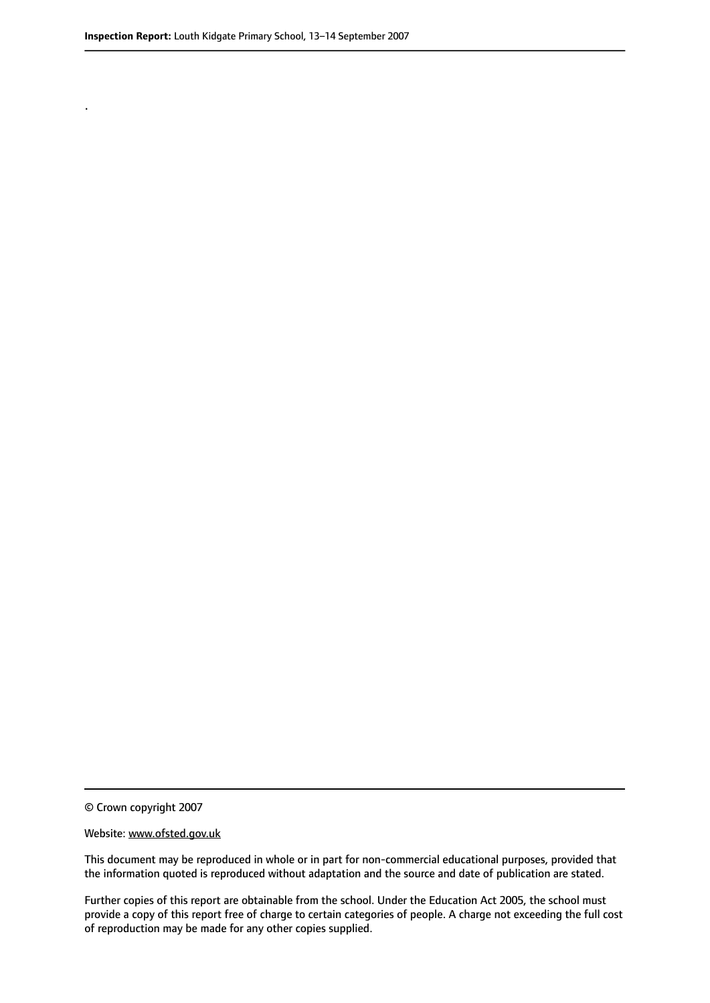.

© Crown copyright 2007

#### Website: www.ofsted.gov.uk

This document may be reproduced in whole or in part for non-commercial educational purposes, provided that the information quoted is reproduced without adaptation and the source and date of publication are stated.

Further copies of this report are obtainable from the school. Under the Education Act 2005, the school must provide a copy of this report free of charge to certain categories of people. A charge not exceeding the full cost of reproduction may be made for any other copies supplied.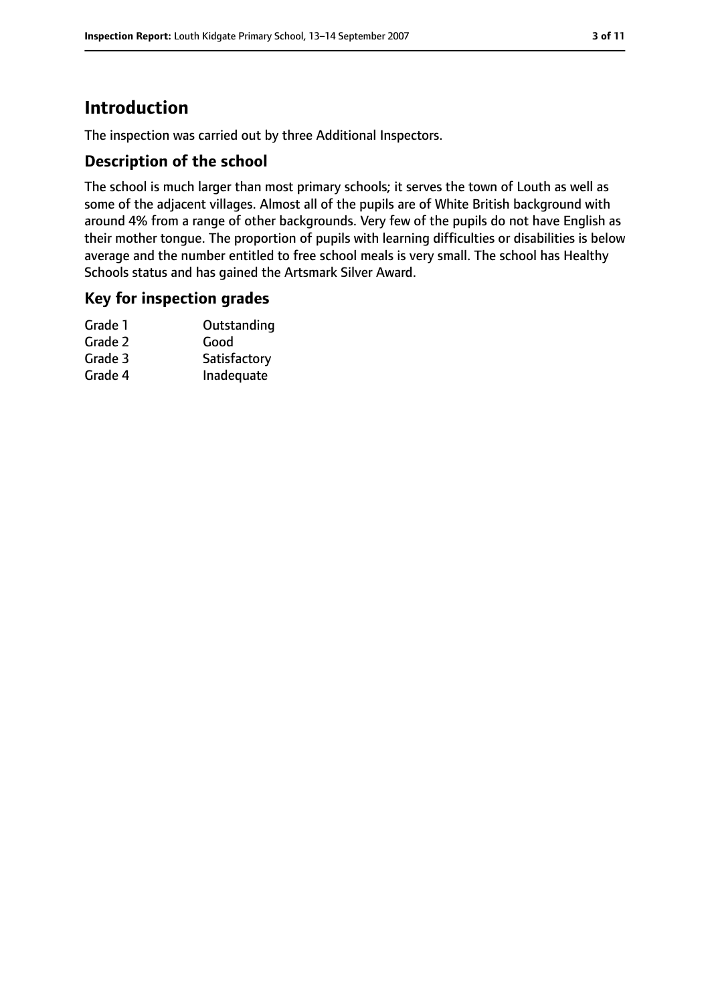# **Introduction**

The inspection was carried out by three Additional Inspectors.

## **Description of the school**

The school is much larger than most primary schools; it serves the town of Louth as well as some of the adjacent villages. Almost all of the pupils are of White British background with around 4% from a range of other backgrounds. Very few of the pupils do not have English as their mother tongue. The proportion of pupils with learning difficulties or disabilities is below average and the number entitled to free school meals is very small. The school has Healthy Schools status and has gained the Artsmark Silver Award.

## **Key for inspection grades**

| Grade 1 | Outstanding  |
|---------|--------------|
| Grade 2 | Good         |
| Grade 3 | Satisfactory |
| Grade 4 | Inadequate   |
|         |              |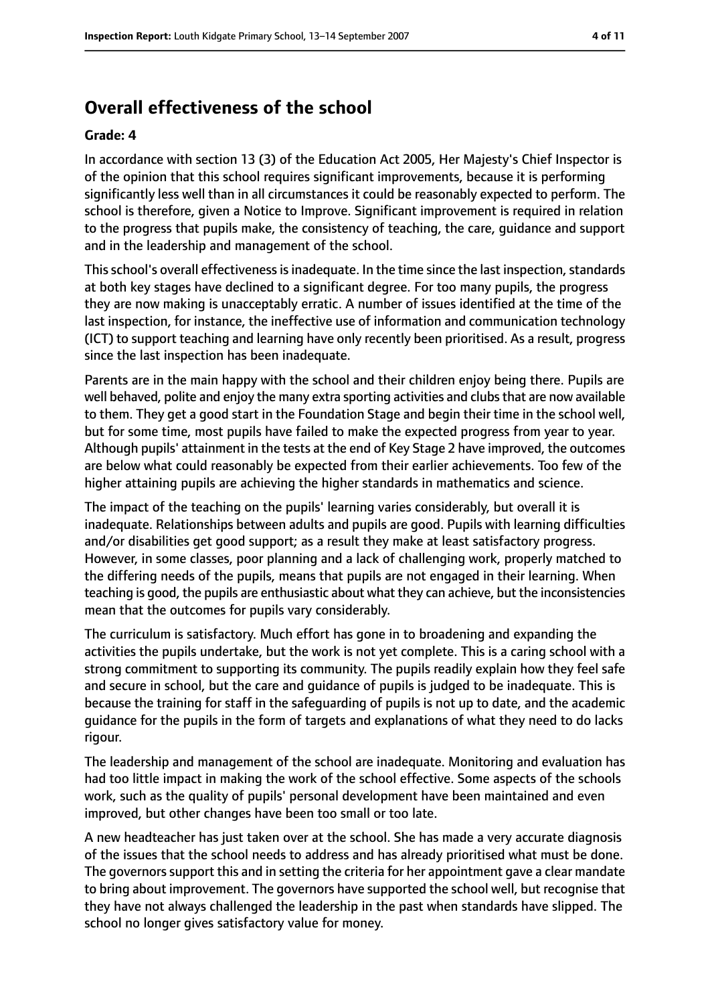# **Overall effectiveness of the school**

#### **Grade: 4**

In accordance with section 13 (3) of the Education Act 2005, Her Majesty's Chief Inspector is of the opinion that this school requires significant improvements, because it is performing significantly less well than in all circumstances it could be reasonably expected to perform. The school is therefore, given a Notice to Improve. Significant improvement is required in relation to the progress that pupils make, the consistency of teaching, the care, guidance and support and in the leadership and management of the school.

This school's overall effectiveness is inadequate. In the time since the last inspection, standards at both key stages have declined to a significant degree. For too many pupils, the progress they are now making is unacceptably erratic. A number of issues identified at the time of the last inspection, for instance, the ineffective use of information and communication technology (ICT) to support teaching and learning have only recently been prioritised. As a result, progress since the last inspection has been inadequate.

Parents are in the main happy with the school and their children enjoy being there. Pupils are well behaved, polite and enjoy the many extra sporting activities and clubs that are now available to them. They get a good start in the Foundation Stage and begin their time in the school well, but for some time, most pupils have failed to make the expected progress from year to year. Although pupils' attainment in the tests at the end of Key Stage 2 have improved, the outcomes are below what could reasonably be expected from their earlier achievements. Too few of the higher attaining pupils are achieving the higher standards in mathematics and science.

The impact of the teaching on the pupils' learning varies considerably, but overall it is inadequate. Relationships between adults and pupils are good. Pupils with learning difficulties and/or disabilities get good support; as a result they make at least satisfactory progress. However, in some classes, poor planning and a lack of challenging work, properly matched to the differing needs of the pupils, means that pupils are not engaged in their learning. When teaching is good, the pupils are enthusiastic about what they can achieve, but the inconsistencies mean that the outcomes for pupils vary considerably.

The curriculum is satisfactory. Much effort has gone in to broadening and expanding the activities the pupils undertake, but the work is not yet complete. This is a caring school with a strong commitment to supporting its community. The pupils readily explain how they feel safe and secure in school, but the care and guidance of pupils is judged to be inadequate. This is because the training for staff in the safeguarding of pupils is not up to date, and the academic guidance for the pupils in the form of targets and explanations of what they need to do lacks rigour.

The leadership and management of the school are inadequate. Monitoring and evaluation has had too little impact in making the work of the school effective. Some aspects of the schools work, such as the quality of pupils' personal development have been maintained and even improved, but other changes have been too small or too late.

A new headteacher has just taken over at the school. She has made a very accurate diagnosis of the issues that the school needs to address and has already prioritised what must be done. The governors support this and in setting the criteria for her appointment gave a clear mandate to bring about improvement. The governors have supported the school well, but recognise that they have not always challenged the leadership in the past when standards have slipped. The school no longer gives satisfactory value for money.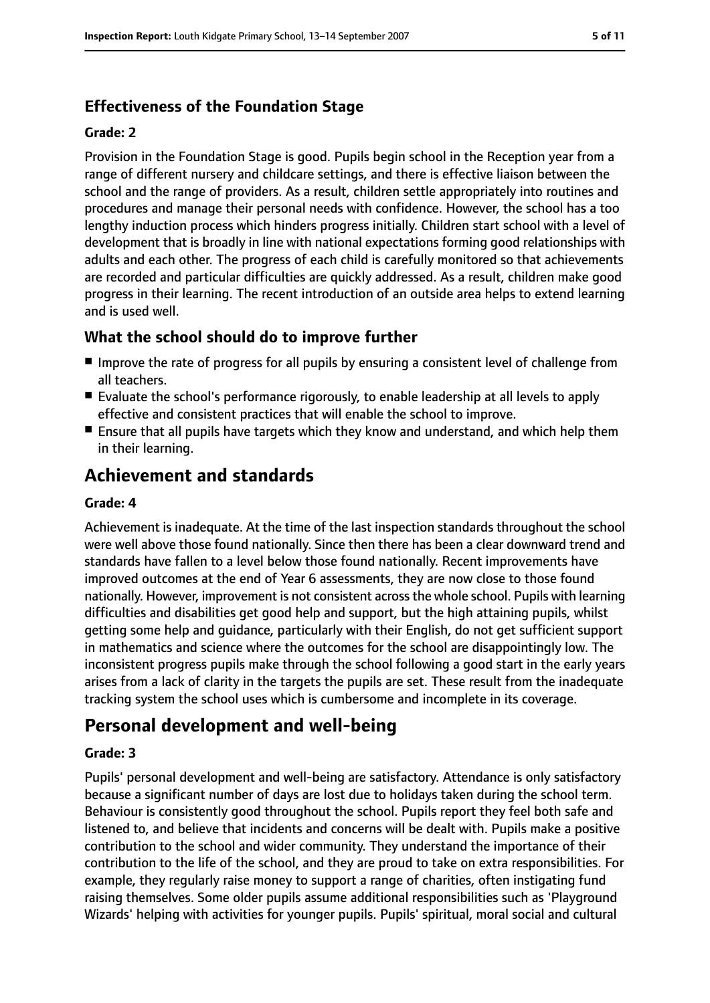# **Effectiveness of the Foundation Stage**

#### **Grade: 2**

Provision in the Foundation Stage is good. Pupils begin school in the Reception year from a range of different nursery and childcare settings, and there is effective liaison between the school and the range of providers. As a result, children settle appropriately into routines and procedures and manage their personal needs with confidence. However, the school has a too lengthy induction process which hinders progress initially. Children start school with a level of development that is broadly in line with national expectations forming good relationships with adults and each other. The progress of each child is carefully monitored so that achievements are recorded and particular difficulties are quickly addressed. As a result, children make good progress in their learning. The recent introduction of an outside area helps to extend learning and is used well.

## **What the school should do to improve further**

- Improve the rate of progress for all pupils by ensuring a consistent level of challenge from all teachers.
- Evaluate the school's performance rigorously, to enable leadership at all levels to apply effective and consistent practices that will enable the school to improve.
- Ensure that all pupils have targets which they know and understand, and which help them in their learning.

# **Achievement and standards**

#### **Grade: 4**

Achievement is inadequate. At the time of the last inspection standards throughout the school were well above those found nationally. Since then there has been a clear downward trend and standards have fallen to a level below those found nationally. Recent improvements have improved outcomes at the end of Year 6 assessments, they are now close to those found nationally. However, improvement is not consistent across the whole school. Pupils with learning difficulties and disabilities get good help and support, but the high attaining pupils, whilst getting some help and guidance, particularly with their English, do not get sufficient support in mathematics and science where the outcomes for the school are disappointingly low. The inconsistent progress pupils make through the school following a good start in the early years arises from a lack of clarity in the targets the pupils are set. These result from the inadequate tracking system the school uses which is cumbersome and incomplete in its coverage.

# **Personal development and well-being**

#### **Grade: 3**

Pupils' personal development and well-being are satisfactory. Attendance is only satisfactory because a significant number of days are lost due to holidays taken during the school term. Behaviour is consistently good throughout the school. Pupils report they feel both safe and listened to, and believe that incidents and concerns will be dealt with. Pupils make a positive contribution to the school and wider community. They understand the importance of their contribution to the life of the school, and they are proud to take on extra responsibilities. For example, they regularly raise money to support a range of charities, often instigating fund raising themselves. Some older pupils assume additional responsibilities such as 'Playground Wizards' helping with activities for younger pupils. Pupils' spiritual, moral social and cultural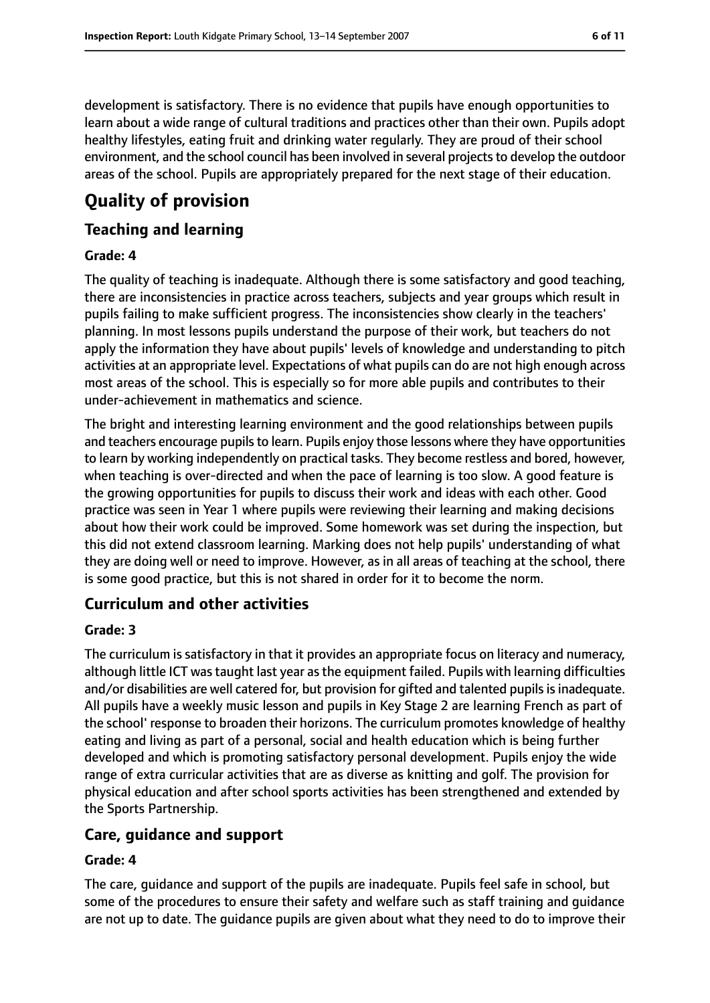development is satisfactory. There is no evidence that pupils have enough opportunities to learn about a wide range of cultural traditions and practices other than their own. Pupils adopt healthy lifestyles, eating fruit and drinking water regularly. They are proud of their school environment, and the school council has been involved in several projects to develop the outdoor areas of the school. Pupils are appropriately prepared for the next stage of their education.

# **Quality of provision**

## **Teaching and learning**

#### **Grade: 4**

The quality of teaching is inadequate. Although there is some satisfactory and good teaching, there are inconsistencies in practice across teachers, subjects and year groups which result in pupils failing to make sufficient progress. The inconsistencies show clearly in the teachers' planning. In most lessons pupils understand the purpose of their work, but teachers do not apply the information they have about pupils' levels of knowledge and understanding to pitch activities at an appropriate level. Expectations of what pupils can do are not high enough across most areas of the school. This is especially so for more able pupils and contributes to their under-achievement in mathematics and science.

The bright and interesting learning environment and the good relationships between pupils and teachers encourage pupils to learn. Pupils enjoy those lessons where they have opportunities to learn by working independently on practical tasks. They become restless and bored, however, when teaching is over-directed and when the pace of learning is too slow. A good feature is the growing opportunities for pupils to discuss their work and ideas with each other. Good practice was seen in Year 1 where pupils were reviewing their learning and making decisions about how their work could be improved. Some homework was set during the inspection, but this did not extend classroom learning. Marking does not help pupils' understanding of what they are doing well or need to improve. However, as in all areas of teaching at the school, there is some good practice, but this is not shared in order for it to become the norm.

# **Curriculum and other activities**

#### **Grade: 3**

The curriculum is satisfactory in that it provides an appropriate focus on literacy and numeracy, although little ICT was taught last year as the equipment failed. Pupils with learning difficulties and/or disabilities are well catered for, but provision for gifted and talented pupils is inadequate. All pupils have a weekly music lesson and pupils in Key Stage 2 are learning French as part of the school' response to broaden their horizons. The curriculum promotes knowledge of healthy eating and living as part of a personal, social and health education which is being further developed and which is promoting satisfactory personal development. Pupils enjoy the wide range of extra curricular activities that are as diverse as knitting and golf. The provision for physical education and after school sports activities has been strengthened and extended by the Sports Partnership.

# **Care, guidance and support**

#### **Grade: 4**

The care, guidance and support of the pupils are inadequate. Pupils feel safe in school, but some of the procedures to ensure their safety and welfare such as staff training and guidance are not up to date. The guidance pupils are given about what they need to do to improve their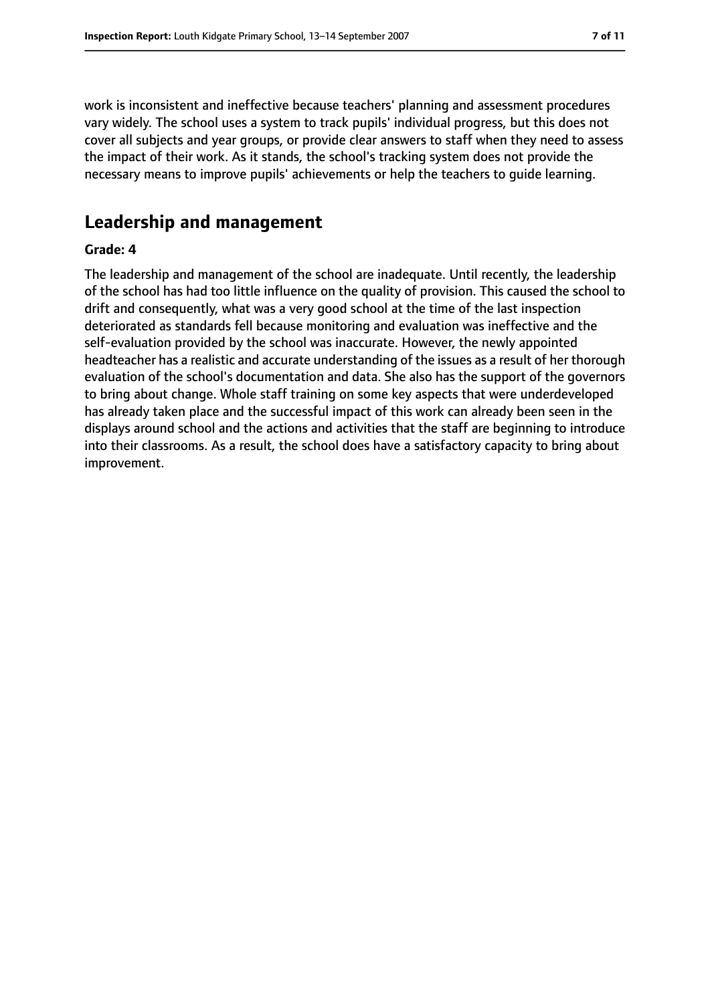work is inconsistent and ineffective because teachers' planning and assessment procedures vary widely. The school uses a system to track pupils' individual progress, but this does not cover all subjects and year groups, or provide clear answers to staff when they need to assess the impact of their work. As it stands, the school's tracking system does not provide the necessary means to improve pupils' achievements or help the teachers to guide learning.

# **Leadership and management**

#### **Grade: 4**

The leadership and management of the school are inadequate. Until recently, the leadership of the school has had too little influence on the quality of provision. This caused the school to drift and consequently, what was a very good school at the time of the last inspection deteriorated as standards fell because monitoring and evaluation was ineffective and the self-evaluation provided by the school was inaccurate. However, the newly appointed headteacher has a realistic and accurate understanding of the issues as a result of her thorough evaluation of the school's documentation and data. She also has the support of the governors to bring about change. Whole staff training on some key aspects that were underdeveloped has already taken place and the successful impact of this work can already been seen in the displays around school and the actions and activities that the staff are beginning to introduce into their classrooms. As a result, the school does have a satisfactory capacity to bring about improvement.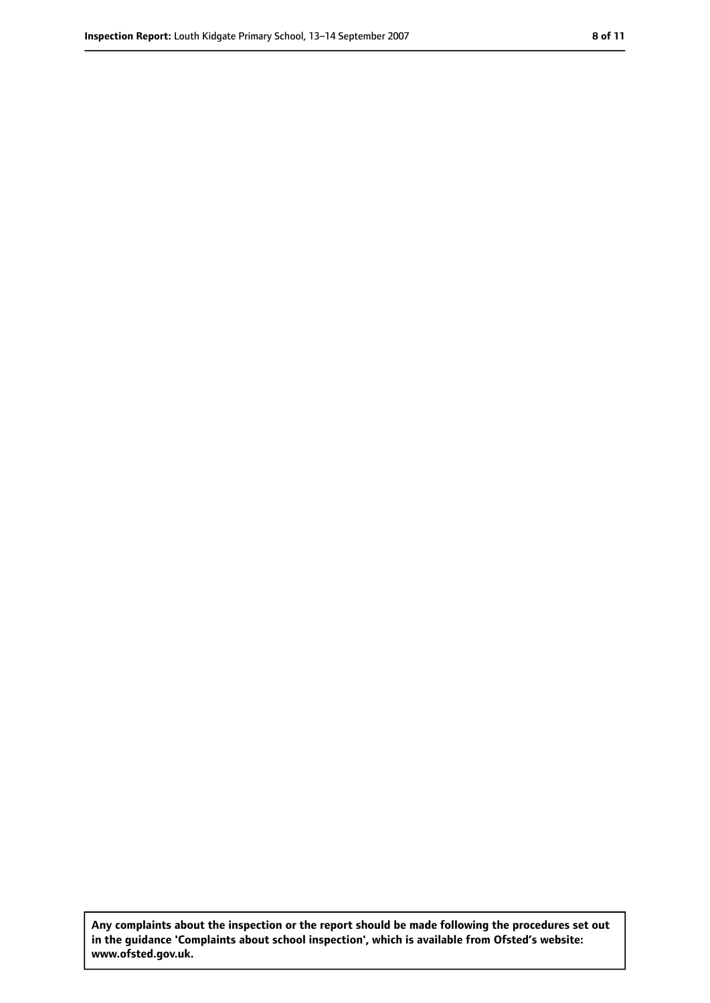**Any complaints about the inspection or the report should be made following the procedures set out in the guidance 'Complaints about school inspection', which is available from Ofsted's website: www.ofsted.gov.uk.**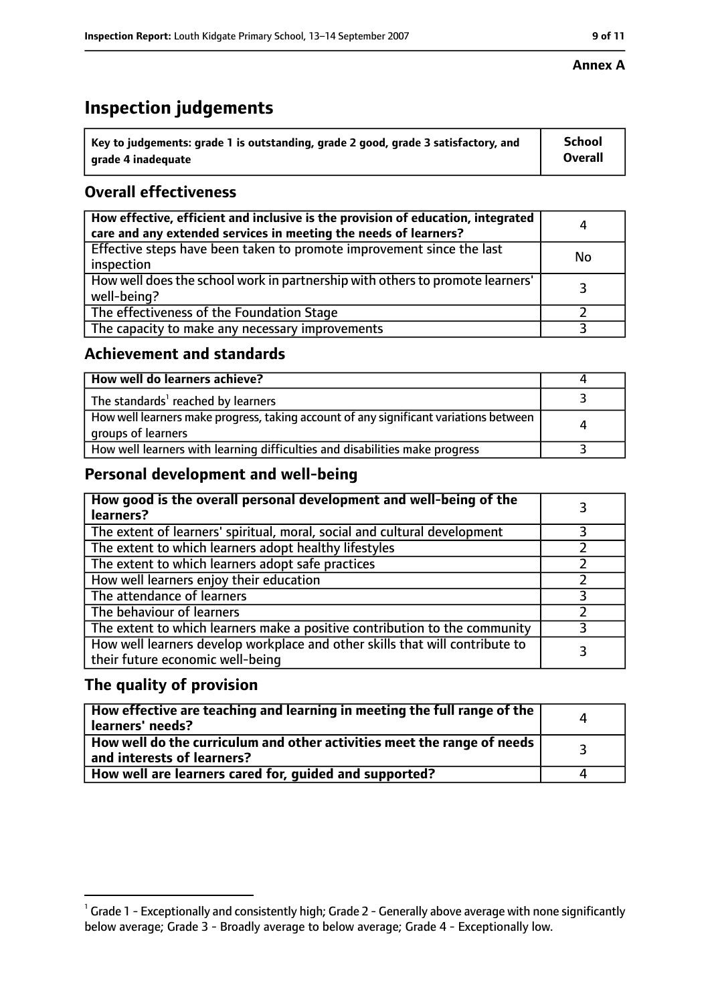# **Inspection judgements**

| $^{\backprime}$ Key to judgements: grade 1 is outstanding, grade 2 good, grade 3 satisfactory, and | School         |
|----------------------------------------------------------------------------------------------------|----------------|
| arade 4 inadeguate                                                                                 | <b>Overall</b> |

# **Overall effectiveness**

| How effective, efficient and inclusive is the provision of education, integrated<br>care and any extended services in meeting the needs of learners? | 4         |
|------------------------------------------------------------------------------------------------------------------------------------------------------|-----------|
| Effective steps have been taken to promote improvement since the last<br>inspection                                                                  | <b>No</b> |
| How well does the school work in partnership with others to promote learners'<br>well-being?                                                         |           |
| The effectiveness of the Foundation Stage                                                                                                            |           |
| The capacity to make any necessary improvements                                                                                                      |           |

## **Achievement and standards**

| How well do learners achieve?                                                                               |  |
|-------------------------------------------------------------------------------------------------------------|--|
| The standards <sup>1</sup> reached by learners                                                              |  |
| How well learners make progress, taking account of any significant variations between<br>groups of learners |  |
| How well learners with learning difficulties and disabilities make progress                                 |  |

# **Personal development and well-being**

| How good is the overall personal development and well-being of the<br>learners?                                  |  |
|------------------------------------------------------------------------------------------------------------------|--|
| The extent of learners' spiritual, moral, social and cultural development                                        |  |
| The extent to which learners adopt healthy lifestyles                                                            |  |
| The extent to which learners adopt safe practices                                                                |  |
| How well learners enjoy their education                                                                          |  |
| The attendance of learners                                                                                       |  |
| The behaviour of learners                                                                                        |  |
| The extent to which learners make a positive contribution to the community                                       |  |
| How well learners develop workplace and other skills that will contribute to<br>their future economic well-being |  |

## **The quality of provision**

| How effective are teaching and learning in meeting the full range of the<br>learners' needs?          |  |
|-------------------------------------------------------------------------------------------------------|--|
| How well do the curriculum and other activities meet the range of needs<br>and interests of learners? |  |
| How well are learners cared for, quided and supported?                                                |  |

#### **Annex A**

 $^1$  Grade 1 - Exceptionally and consistently high; Grade 2 - Generally above average with none significantly below average; Grade 3 - Broadly average to below average; Grade 4 - Exceptionally low.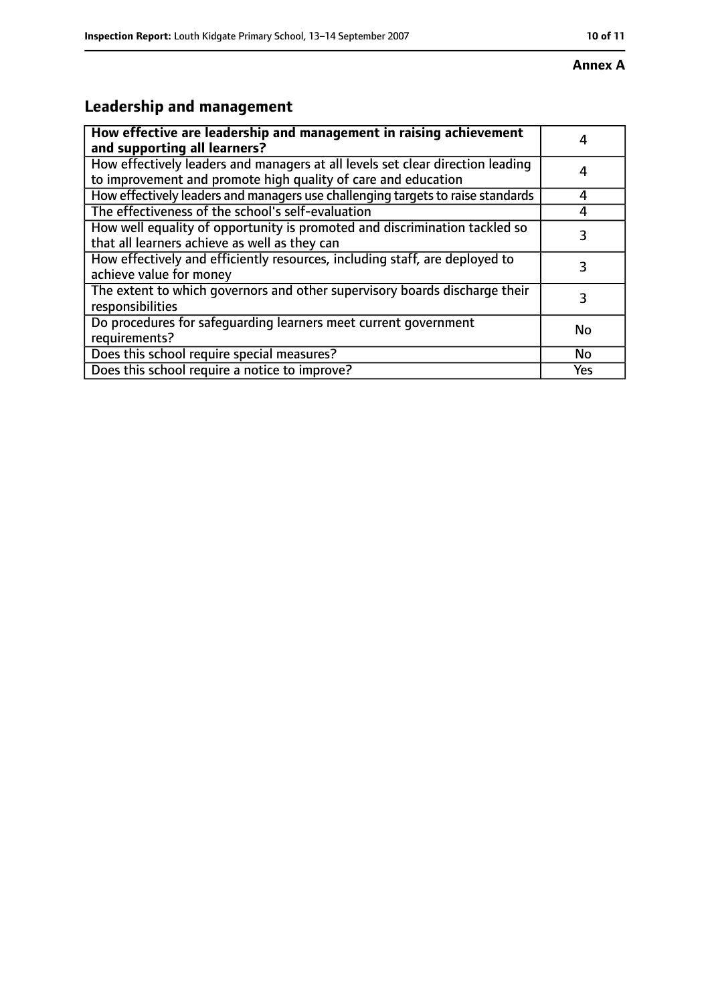#### **Annex A**

# **Leadership and management**

| How effective are leadership and management in raising achievement<br>and supporting all learners?                                              |     |
|-------------------------------------------------------------------------------------------------------------------------------------------------|-----|
| How effectively leaders and managers at all levels set clear direction leading<br>to improvement and promote high quality of care and education |     |
| How effectively leaders and managers use challenging targets to raise standards                                                                 | Δ   |
| The effectiveness of the school's self-evaluation                                                                                               |     |
| How well equality of opportunity is promoted and discrimination tackled so<br>that all learners achieve as well as they can                     | 3   |
| How effectively and efficiently resources, including staff, are deployed to<br>achieve value for money                                          | 3   |
| The extent to which governors and other supervisory boards discharge their<br>responsibilities                                                  | 3   |
| Do procedures for safequarding learners meet current government<br>requirements?                                                                | No  |
| Does this school require special measures?                                                                                                      | No  |
| Does this school require a notice to improve?                                                                                                   | Yes |